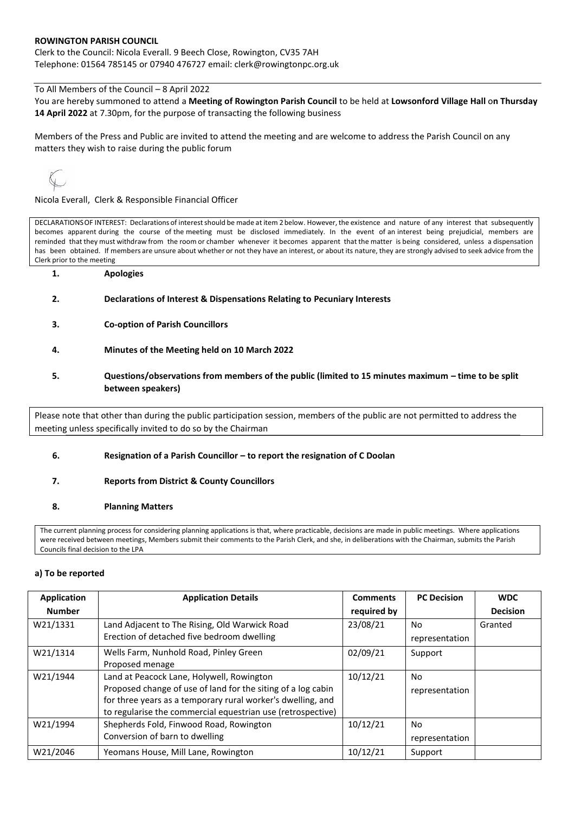## **ROWINGTON PARISH COUNCIL**

Clerk to the Council: Nicola Everall. 9 Beech Close, Rowington, CV35 7AH Telephone: 01564 785145 or 07940 476727 email: clerk@rowingtonpc.org.uk

To All Members of the Council – 8 April 2022

You are hereby summoned to attend a **Meeting of Rowington Parish Council** to be held at **Lowsonford Village Hall** o**n Thursday 14 April 2022** at 7.30pm, for the purpose of transacting the following business

Members of the Press and Public are invited to attend the meeting and are welcome to address the Parish Council on any matters they wish to raise during the public forum

Nicola Everall, Clerk & Responsible Financial Officer

DECLARATIONSOF INTEREST: Declarations of interestshould be made at item 2 below. However, the existence and nature of any interest that subsequently becomes apparent during the course of the meeting must be disclosed immediately. In the event of an interest being prejudicial, members are reminded that they must withdraw from the room or chamber whenever it becomes apparent that the matter is being considered, unless a dispensation has been obtained. If members are unsure about whether or not they have an interest, or about its nature, they are strongly advised to seek advice from the Clerk prior to the meeting

- **1. Apologies**
- **2. Declarations of Interest & Dispensations Relating to Pecuniary Interests**
- **3. Co-option of Parish Councillors**
- **4. Minutes of the Meeting held on 10 March 2022**
- **5. Questions/observations from members of the public (limited to 15 minutes maximum – time to be split between speakers)**

Please note that other than during the public participation session, members of the public are not permitted to address the meeting unless specifically invited to do so by the Chairman

## **6. Resignation of a Parish Councillor – to report the resignation of C Doolan**

## **7. Reports from District & County Councillors**

## **8. Planning Matters**

The current planning process for considering planning applications is that, where practicable, decisions are made in public meetings. Where applications were received between meetings, Members submit their comments to the Parish Clerk, and she, in deliberations with the Chairman, submits the Parish Councils final decision to the LPA

#### **a) To be reported**

| <b>Application</b> | <b>Application Details</b>                                   | <b>Comments</b> | <b>PC Decision</b> | <b>WDC</b>      |
|--------------------|--------------------------------------------------------------|-----------------|--------------------|-----------------|
| <b>Number</b>      |                                                              | required by     |                    | <b>Decision</b> |
| W21/1331           | Land Adjacent to The Rising, Old Warwick Road                | 23/08/21        | No                 | Granted         |
|                    | Erection of detached five bedroom dwelling                   |                 | representation     |                 |
| W21/1314           | Wells Farm, Nunhold Road, Pinley Green                       | 02/09/21        | Support            |                 |
|                    | Proposed menage                                              |                 |                    |                 |
| W21/1944           | Land at Peacock Lane, Holywell, Rowington                    | 10/12/21        | No                 |                 |
|                    | Proposed change of use of land for the siting of a log cabin |                 | representation     |                 |
|                    | for three years as a temporary rural worker's dwelling, and  |                 |                    |                 |
|                    | to regularise the commercial equestrian use (retrospective)  |                 |                    |                 |
| W21/1994           | Shepherds Fold, Finwood Road, Rowington                      | 10/12/21        | No.                |                 |
|                    | Conversion of barn to dwelling                               |                 | representation     |                 |
| W21/2046           | Yeomans House, Mill Lane, Rowington                          | 10/12/21        | Support            |                 |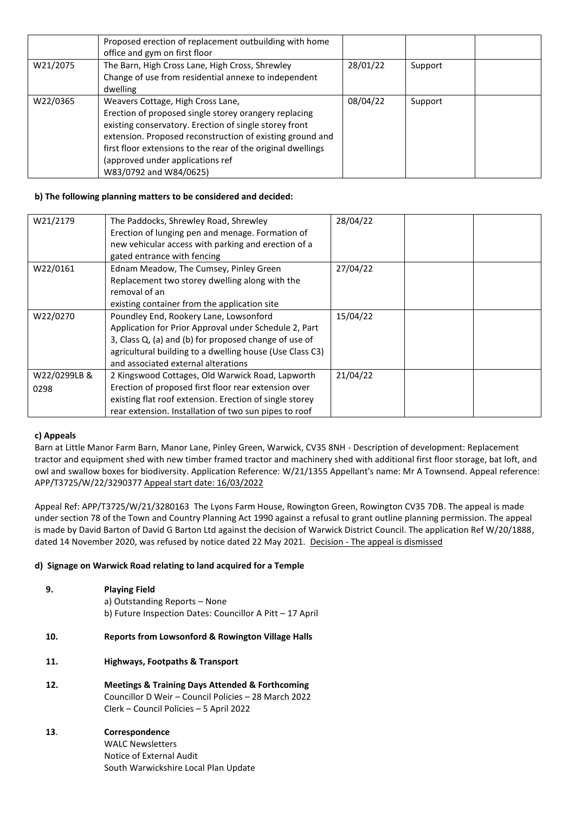|          | Proposed erection of replacement outbuilding with home<br>office and gym on first floor                                                                                                                                                                                                                                                         |          |         |  |
|----------|-------------------------------------------------------------------------------------------------------------------------------------------------------------------------------------------------------------------------------------------------------------------------------------------------------------------------------------------------|----------|---------|--|
| W21/2075 | The Barn, High Cross Lane, High Cross, Shrewley<br>Change of use from residential annexe to independent<br>dwelling                                                                                                                                                                                                                             | 28/01/22 | Support |  |
| W22/0365 | Weavers Cottage, High Cross Lane,<br>Erection of proposed single storey orangery replacing<br>existing conservatory. Erection of single storey front<br>extension. Proposed reconstruction of existing ground and<br>first floor extensions to the rear of the original dwellings<br>(approved under applications ref<br>W83/0792 and W84/0625) | 08/04/22 | Support |  |

## **b) The following planning matters to be considered and decided:**

| W21/2179             | The Paddocks, Shrewley Road, Shrewley<br>Erection of lunging pen and menage. Formation of<br>new vehicular access with parking and erection of a<br>gated entrance with fencing                                                                             | 28/04/22 |  |
|----------------------|-------------------------------------------------------------------------------------------------------------------------------------------------------------------------------------------------------------------------------------------------------------|----------|--|
| W22/0161             | Ednam Meadow, The Cumsey, Pinley Green<br>Replacement two storey dwelling along with the<br>removal of an<br>existing container from the application site                                                                                                   | 27/04/22 |  |
| W22/0270             | Poundley End, Rookery Lane, Lowsonford<br>Application for Prior Approval under Schedule 2, Part<br>3, Class Q, (a) and (b) for proposed change of use of<br>agricultural building to a dwelling house (Use Class C3)<br>and associated external alterations | 15/04/22 |  |
| W22/0299LB &<br>0298 | 2 Kingswood Cottages, Old Warwick Road, Lapworth<br>Erection of proposed first floor rear extension over<br>existing flat roof extension. Erection of single storey<br>rear extension. Installation of two sun pipes to roof                                | 21/04/22 |  |

## **c) Appeals**

Barn at Little Manor Farm Barn, Manor Lane, Pinley Green, Warwick, CV35 8NH - Description of development: Replacement tractor and equipment shed with new timber framed tractor and machinery shed with additional first floor storage, bat loft, and owl and swallow boxes for biodiversity. Application Reference: W/21/1355 Appellant's name: Mr A Townsend. Appeal reference: APP/T3725/W/22/3290377 Appeal start date: 16/03/2022

Appeal Ref: APP/T3725/W/21/3280163 The Lyons Farm House, Rowington Green, Rowington CV35 7DB. The appeal is made under section 78 of the Town and Country Planning Act 1990 against a refusal to grant outline planning permission. The appeal is made by David Barton of David G Barton Ltd against the decision of Warwick District Council. The application Ref W/20/1888, dated 14 November 2020, was refused by notice dated 22 May 2021. Decision - The appeal is dismissed

# **d) Signage on Warwick Road relating to land acquired for a Temple**

| 9.  | <b>Playing Field</b><br>a) Outstanding Reports – None<br>b) Future Inspection Dates: Councillor A Pitt - 17 April                                                 |
|-----|-------------------------------------------------------------------------------------------------------------------------------------------------------------------|
| 10. | <b>Reports from Lowsonford &amp; Rowington Village Halls</b>                                                                                                      |
| 11. | <b>Highways, Footpaths &amp; Transport</b>                                                                                                                        |
| 12. | <b>Meetings &amp; Training Days Attended &amp; Forthcoming</b><br>Councillor D Weir - Council Policies - 28 March 2022<br>Clerk - Council Policies - 5 April 2022 |
| 13. | Correspondence<br>WALC Newsletters<br>Notice of External Audit<br>South Warwickshire Local Plan Update                                                            |